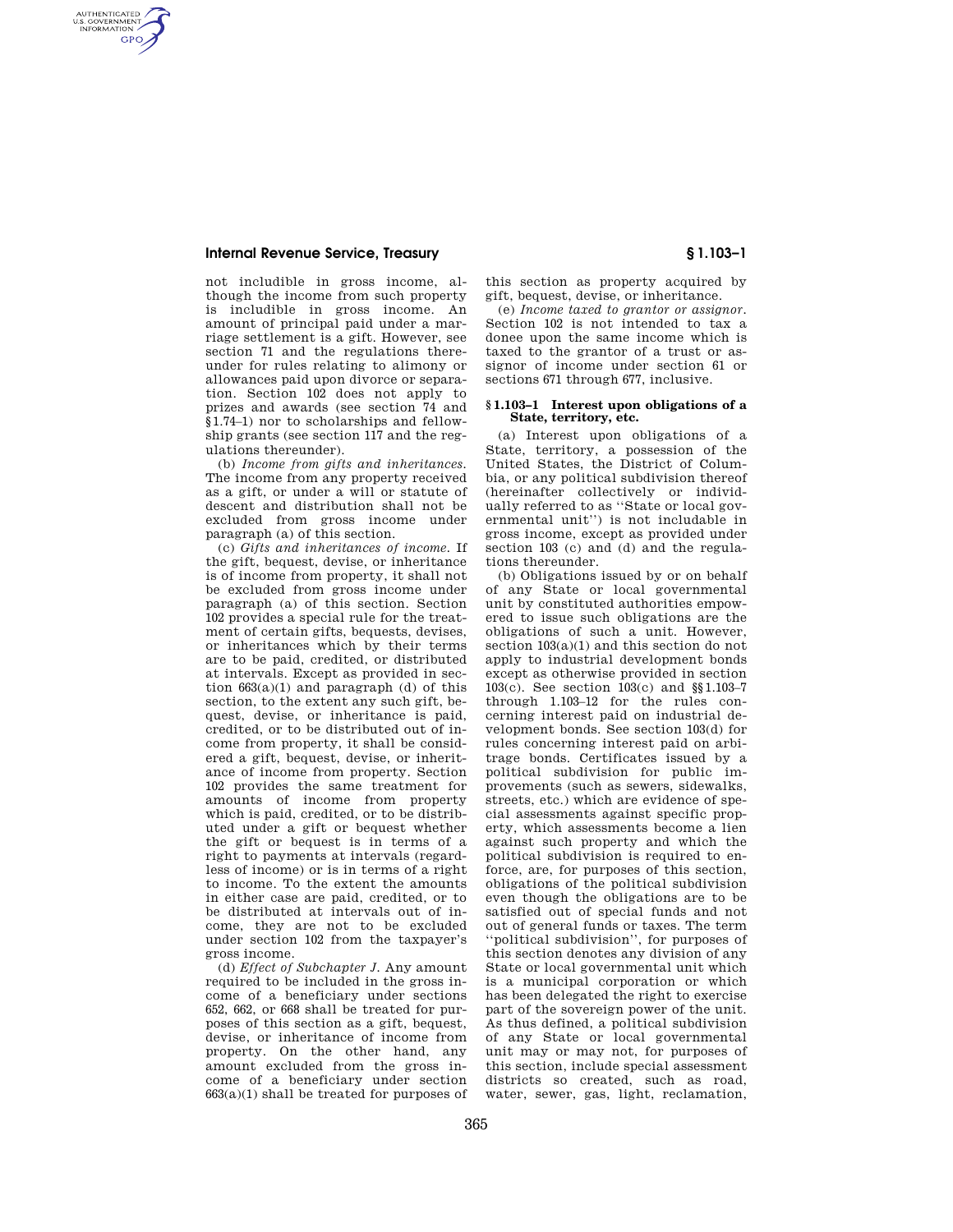## **Internal Revenue Service, Treasury § 1.103–1**

AUTHENTICATED<br>U.S. GOVERNMENT<br>INFORMATION **GPO** 

> not includible in gross income, although the income from such property is includible in gross income. An amount of principal paid under a marriage settlement is a gift. However, see section 71 and the regulations thereunder for rules relating to alimony or allowances paid upon divorce or separation. Section 102 does not apply to prizes and awards (see section 74 and §1.74–1) nor to scholarships and fellowship grants (see section 117 and the regulations thereunder).

> (b) *Income from gifts and inheritances.*  The income from any property received as a gift, or under a will or statute of descent and distribution shall not be excluded from gross income under paragraph (a) of this section.

> (c) *Gifts and inheritances of income.* If the gift, bequest, devise, or inheritance is of income from property, it shall not be excluded from gross income under paragraph (a) of this section. Section 102 provides a special rule for the treatment of certain gifts, bequests, devises, or inheritances which by their terms are to be paid, credited, or distributed at intervals. Except as provided in section  $663(a)(1)$  and paragraph (d) of this section, to the extent any such gift, bequest, devise, or inheritance is paid, credited, or to be distributed out of income from property, it shall be considered a gift, bequest, devise, or inheritance of income from property. Section 102 provides the same treatment for amounts of income from property which is paid, credited, or to be distributed under a gift or bequest whether the gift or bequest is in terms of a right to payments at intervals (regardless of income) or is in terms of a right to income. To the extent the amounts in either case are paid, credited, or to be distributed at intervals out of income, they are not to be excluded under section 102 from the taxpayer's gross income.

> (d) *Effect of Subchapter J.* Any amount required to be included in the gross income of a beneficiary under sections 652, 662, or 668 shall be treated for purposes of this section as a gift, bequest, devise, or inheritance of income from property. On the other hand, any amount excluded from the gross income of a beneficiary under section  $663(a)(1)$  shall be treated for purposes of

this section as property acquired by gift, bequest, devise, or inheritance.

(e) *Income taxed to grantor or assignor.*  Section 102 is not intended to tax a donee upon the same income which is taxed to the grantor of a trust or assignor of income under section 61 or sections 671 through 677, inclusive.

## **§ 1.103–1 Interest upon obligations of a State, territory, etc.**

(a) Interest upon obligations of a State, territory, a possession of the United States, the District of Columbia, or any political subdivision thereof (hereinafter collectively or individually referred to as ''State or local governmental unit'') is not includable in gross income, except as provided under section 103 (c) and (d) and the regulations thereunder.

(b) Obligations issued by or on behalf of any State or local governmental unit by constituted authorities empowered to issue such obligations are the obligations of such a unit. However, section 103(a)(1) and this section do not apply to industrial development bonds except as otherwise provided in section 103(c). See section 103(c) and §§1.103–7 through 1.103–12 for the rules concerning interest paid on industrial development bonds. See section 103(d) for rules concerning interest paid on arbitrage bonds. Certificates issued by a political subdivision for public improvements (such as sewers, sidewalks, streets, etc.) which are evidence of special assessments against specific property, which assessments become a lien against such property and which the political subdivision is required to enforce, are, for purposes of this section, obligations of the political subdivision even though the obligations are to be satisfied out of special funds and not out of general funds or taxes. The term ''political subdivision'', for purposes of this section denotes any division of any State or local governmental unit which is a municipal corporation or which has been delegated the right to exercise part of the sovereign power of the unit. As thus defined, a political subdivision of any State or local governmental unit may or may not, for purposes of this section, include special assessment districts so created, such as road, water, sewer, gas, light, reclamation,